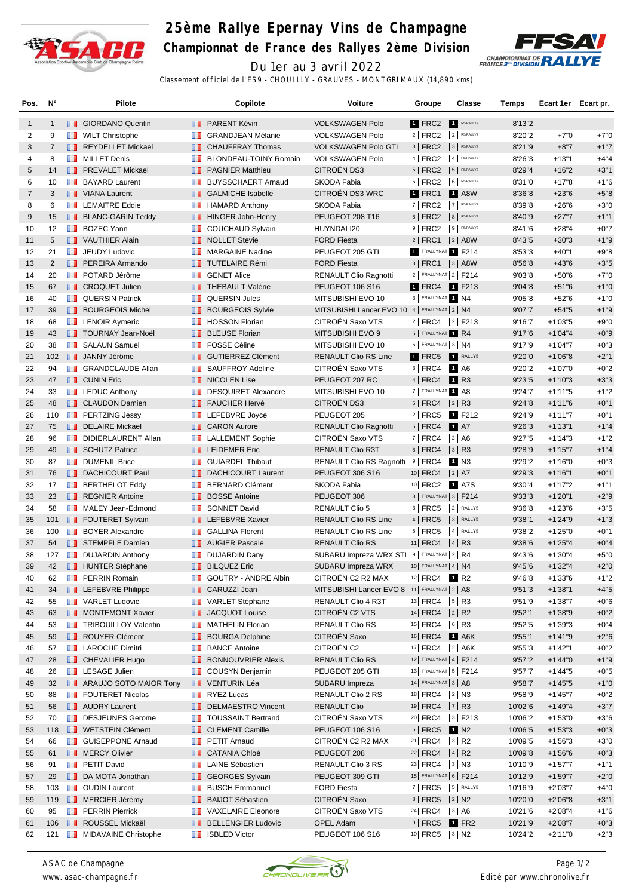

## **25ème Rallye Epernay Vins de Champagne**

**Championnat de France des Rallyes 2ème Division**



Du 1er au 3 avril 2022 Classement officiel de l'ES9 - CHOUILLY - GRAUVES - MONTGRIMAUX (14,890 kms)

| Pos.           | N°             |            | Pilote                                        |                                                                                                                                                                                                                                      | Copilote                                       | Voiture                                           | Groupe                   | <b>Classe</b>    | Temps             | Ecart 1er Ecart pr.    |                  |
|----------------|----------------|------------|-----------------------------------------------|--------------------------------------------------------------------------------------------------------------------------------------------------------------------------------------------------------------------------------------|------------------------------------------------|---------------------------------------------------|--------------------------|------------------|-------------------|------------------------|------------------|
| $\mathbf{1}$   | $\mathbf{1}$   |            | <b>B</b> GIORDANO Quentin                     |                                                                                                                                                                                                                                      | <b>FRARENT Kévin</b>                           | <b>VOLKSWAGEN Polo</b>                            | 1 FRC2                   | R5/RALLY2        | 8'13"2            |                        |                  |
| 2              | 9              | ш          | <b>WILT Christophe</b>                        | <b>TELEVISION</b>                                                                                                                                                                                                                    | <b>GRANDJEAN Mélanie</b>                       | <b>VOLKSWAGEN Polo</b>                            | 2   FRC2                 | $2$ R5/RALLY2    | 8'20"2            | $+7"0$                 | $+7"0$           |
| 3              | $\overline{7}$ |            | REYDELLET Mickael                             |                                                                                                                                                                                                                                      | <b>T</b> CHAUFFRAY Thomas                      | <b>VOLKSWAGEN Polo GTI</b>                        | $ 3 $ FRC2               | 3 R5/RALLY2      | 8'21"9            | $+8"7$                 | $+1"7$           |
| 4              | 8              |            | <b>NILLET Denis</b>                           | <b>The Co</b>                                                                                                                                                                                                                        | <b>BLONDEAU-TOINY Romain</b>                   | <b>VOLKSWAGEN Polo</b>                            | 4 FRC2                   | 4 R5/RALLY2      | 8'26"3            | $+13"1$                | $+4"4$           |
| 5              | 14             |            | <b>FREVALET Mickael</b>                       |                                                                                                                                                                                                                                      | <b>F</b> PAGNIER Matthieu                      | <b>CITROEN DS3</b>                                | $ 5 $ FRC2               | 5 R5/RALLY2      | 8'29"4            | $+16"2$                | $+3"1$           |
| 6              | 10             |            | <b>BAYARD Laurent</b>                         |                                                                                                                                                                                                                                      | <b>BUYSSCHAERT Arnaud</b>                      | SKODA Fabia                                       | $ 6 $ FRC2               | 6 R5/RALLY2      | 8'31"0            | $+17"8$                | $+1"6$           |
| $\overline{7}$ | 3              |            | <b>U</b> VIANA Laurent                        |                                                                                                                                                                                                                                      | <b>B</b> GALMICHE Isabelle                     | <b>CITROËN DS3 WRC</b>                            | 1 FRC1                   | <b>1</b> A8W     | 8'36"8            | $+23"6$                | $+5"8$           |
| 8              | 6              | m          | <b>LEMAITRE Eddie</b>                         | ш                                                                                                                                                                                                                                    | <b>HAMARD Anthony</b>                          | SKODA Fabia                                       | 7   FRC2                 | 7 R5/RALLY2      | 8'39"8            | $+26"6$                | $+3"0$           |
| 9              | 15             |            | <b>BLANC-GARIN Teddy</b>                      |                                                                                                                                                                                                                                      | <b>HINGER John-Henry</b>                       | PEUGEOT 208 T16                                   | 8   FRC2   8   R5/RALLY2 |                  | 8'40"9            | $+27"7$                | $+1"1$           |
| 10             | 12             | ш          | <b>BOZEC Yann</b>                             | п.                                                                                                                                                                                                                                   | <b>COUCHAUD Sylvain</b>                        | HUYNDAI I20                                       | $9$ FRC2 $9$ R5/RALLY2   |                  | 8'41"6            | $+28"4$                | $+0"7$           |
| 11             | 5              |            | <b>T</b> VAUTHIER Alain                       |                                                                                                                                                                                                                                      | <b>NOLLET</b> Stevie                           | <b>FORD Fiesta</b>                                | 2   FRC1                 | $ 2 $ A8W        | 8'43"5            | $+30"3$                | $+1"9$           |
| 12             | 21             | a s        | <b>JEUDY Ludovic</b>                          |                                                                                                                                                                                                                                      | <b>MARGAINE Nadine</b>                         | PEUGEOT 205 GTI                                   | 1 FRALLYNAT 1 F214       |                  | 8'53"3            | $+40"1$                | $+9"8$           |
| 13             | $\overline{2}$ |            | <b>F</b> PEREIRA Armando                      |                                                                                                                                                                                                                                      | <b>TUTELAIRE Rémi</b>                          | <b>FORD Fiesta</b>                                | 3   FRC1   3   A8W       |                  | 8'56"8            | $+43"6$                | $+3"5$           |
| 14             | 20             | ш          | POTARD Jérôme                                 | <b>Maria</b>                                                                                                                                                                                                                         | <b>GENET Alice</b>                             | <b>RENAULT Clio Ragnotti</b>                      | $2$ FRALLYNAT $2$ F214   |                  | 9'03"8            | $+50"6$                | $+7"0$           |
| 15             | 67             |            | <b>CROQUET Julien</b>                         |                                                                                                                                                                                                                                      | <b>THEBAULT Valérie</b>                        | <b>PEUGEOT 106 S16</b>                            | 1 FRC4 1 F213            |                  | 9'04"8            | $+51"6$                | $+1"0$           |
| 16             | 40             | ш          | <b>QUERSIN Patrick</b>                        | <b>TELEVISION</b>                                                                                                                                                                                                                    | <b>QUERSIN Jules</b>                           | MITSUBISHI EVO 10                                 | 3 FRALLYNAT 1 N4         |                  | 9'05"8            | $+52"6$                | $+1"0$           |
| 17             | 39             |            | <b>BOURGEOIS Michel</b>                       | . .                                                                                                                                                                                                                                  | <b>BOURGEOIS Sylvie</b>                        | MITSUBISHI Lancer EVO 10   4   FRALLYNAT   2   N4 |                          |                  | 9'07"7            | $+54"5$                | $+1"9$           |
| 18             | 68             |            | <b>EXECUTE Aymeric</b>                        |                                                                                                                                                                                                                                      | <b>B</b> HOSSON Florian                        | CITROËN Saxo VTS                                  | 2 FRC4 2 F213            |                  | 9'16"7            | $+1'03"5$              | $+9"0$           |
| 19             | 43             |            | <b>TOURNAY Jean-Noël</b>                      | ш                                                                                                                                                                                                                                    | <b>BLEUSE Florian</b>                          | MITSUBISHI EVO 9                                  | 5 FRALLYNAT R4           |                  | 9'17"6            | $+1'04''4$             | $+0"9$           |
| 20             | 38             | ш          | <b>SALAUN Samuel</b>                          | ш                                                                                                                                                                                                                                    | <b>FOSSE Céline</b>                            | MITSUBISHI EVO 10                                 | $ 6 $ FRALLYNAT $ 3 N4$  |                  | 9'17"9            | $+1'04"7$              | $+0"3$           |
| 21             | 102            |            | <b>JANNY Jérôme</b>                           |                                                                                                                                                                                                                                      | <b>B</b> GUTIERREZ Clément                     | <b>RENAULT Clio RS Line</b>                       | 1 FRC5                   | RALLY5           | 9'20"0            | $+1'06''8$             | $+2"1$           |
| 22             | 94             | m          | <b>GRANDCLAUDE Allan</b>                      | w                                                                                                                                                                                                                                    | SAUFFROY Adeline                               | CITROËN Saxo VTS                                  | 3   FRC4                 | 1 A6             | 9'20"2            | $+1'07"0$              | $+0"2$           |
| 23             | 47             |            | <b>T</b> CUNIN Eric                           |                                                                                                                                                                                                                                      | <b>NICOLEN Lise</b>                            | PEUGEOT 207 RC                                    | $ 4 $ FRC4               | <b>1</b> R3      | 9'23"5            | $+1'10''3$             | $+3"3$           |
| 24             | 33             |            | $\blacksquare$ LEDUC Anthony                  | <b>The Co</b>                                                                                                                                                                                                                        | <b>DESQUIRET Alexandre</b>                     | MITSUBISHI EVO 10                                 | 7 FRALLYNAT 1 A8         |                  | 9'24"7            | $+1'11''5$             | $+1"2$           |
| 25             | 48             |            | <b>CLAUDON Damien</b>                         |                                                                                                                                                                                                                                      | <b>FAUCHER Hervé</b>                           | CITROËN DS3                                       | 5   FRC4   2   R3        |                  | 9'24"8            | $+1'11''6$             | $+0"1$           |
| 26             | 110            |            | <b>FRITZING Jessy</b>                         |                                                                                                                                                                                                                                      | <b>LEFEBVRE</b> Joyce                          | PEUGEOT 205                                       | $ 2 $ FRC5               | 1 F212           | 9'24"9            | $+1'11''7$             | $+0"1$           |
| 27             | 75             |            | DELAIRE Mickael                               |                                                                                                                                                                                                                                      | <b>B</b> CARON Aurore                          | <b>RENAULT Clio Ragnotti</b>                      | $ 6 $ FRC4 1 A7          |                  | 9'26"3            | $+1'13''1$             | $+1"4$           |
| 28             | 96             | w          | DIDIERLAURENT Allan                           | ш                                                                                                                                                                                                                                    | <b>LALLEMENT Sophie</b>                        | CITROËN Saxo VTS                                  | 7   FRC4                 | 2 A6             | 9'27"5            | $+1'14"3$              | $+1"2$           |
| 29             | 49             |            | SCHUTZ Patrice                                |                                                                                                                                                                                                                                      | <b>LEIDEMER Eric</b>                           | <b>RENAULT Clio R3T</b>                           | $ 8 $ FRC4               | $ 3 $ R3         | 9'28"9            | $+1'15"7$              | $+1"4$           |
| 30             | 87             | H.         | <b>DUMENIL Brice</b>                          | <b>TELEVISION</b>                                                                                                                                                                                                                    | <b>GUIARDEL Thibaut</b>                        | RENAULT Clio RS Ragnotti   9   FRC4               |                          | 1 N3             | 9'29"2            | $+1'16'0$              | $+0"3$           |
| 31             | 76             |            | DACHICOURT Paul                               | ш                                                                                                                                                                                                                                    | <b>DACHICOURT Laurent</b>                      | PEUGEOT 306 S16                                   | $ 10 $ FRC4              | 2 A7             | 9'29"3            | $+1'16"1$              | $+0"1$           |
| 32             | 17             |            | <b>BERTHELOT Eddy</b>                         | ш                                                                                                                                                                                                                                    | <b>BERNARD Clément</b>                         | SKODA Fabia                                       | 10 FRC2 1 A7S            |                  | 9'30"4            | +1'17"2                | $+1"1$           |
| 33             | 23             |            | <b>REGNIER Antoine</b>                        | ш                                                                                                                                                                                                                                    | <b>BOSSE Antoine</b>                           | PEUGEOT 306                                       | 8   FRALLYNAT 3   F214   |                  | 9'33"3            | $+1'20"1$              | $+2"9$           |
| 34             | 58             | w          | MALEY Jean-Edmond                             | ш                                                                                                                                                                                                                                    | <b>SONNET David</b>                            | <b>RENAULT Clio 5</b>                             | $ 3 $ FRC5               | 2 RALLY5         | 9'36"8            | $+1'23'6$              | $+3"5$           |
| 35             | 101            |            | <b>FOUTERET Sylvain</b>                       |                                                                                                                                                                                                                                      | <b>Example FEBVRE Xavier</b>                   | <b>RENAULT Clio RS Line</b>                       | $ 4 $ FRC5               | 3 RALLY5         | 9'38"1            | $+1'24''9$             | $+1"3$           |
| 36             | 100            | ш          | <b>BOYER Alexandre</b>                        | ш                                                                                                                                                                                                                                    | <b>GALLINA Florent</b>                         | RENAULT Clio RS Line                              | 5   FRC5                 | 4 RALLY5         | 9'38"2            | $+1'25"0$              | $+0"1$           |
| 37             | 54             |            | STEMPFLE Damien                               |                                                                                                                                                                                                                                      | <b>AUGIER Pascale</b>                          | <b>RENAULT Clio RS</b>                            | $ 11 $ FRC4 $ 4 $ R3     |                  | 9'38"6            | $+1'25''4$             | $+0"4$           |
| 38             | 127            | ш          | <b>DUJARDIN Anthony</b>                       |                                                                                                                                                                                                                                      | <b>DUJARDIN Dany</b>                           | SUBARU Impreza WRX STI   9   FRALLYNAT   2   R4   |                          |                  | 9'43"6            | $+1'30''4$             | $+5"0$           |
| 39             | 42             |            | <b>HUNTER Stéphane</b>                        |                                                                                                                                                                                                                                      | <b>BILQUEZ Eric</b>                            | SUBARU Impreza WRX                                | 10 FRALLYNAT 4   N4      |                  | 9'45"6            | $+1'32''4$             | $+2"0$           |
| 40             | 62             |            | <b>PERRIN Romain</b>                          | <b>The Contract of the Contract of the Contract of the Contract of the Contract of the Contract of the Contract of the Contract of the Contract of The Contract of The Contract of The Contract of The Contract of The Contract </b> | <b>GOUTRY - ANDRE Albin</b>                    | CITROËN C2 R2 MAX                                 | 12  FRC4   R2            |                  |                   |                        | $+1"2$           |
| 41             | 34             | u s        | <b>I</b> LEFEBVRE Philippe                    |                                                                                                                                                                                                                                      | <b>CARUZZI Joan</b>                            | MITSUBISHI Lancer EVO 8  11   FRALLYNAT   2   A8  |                          |                  | 9'46"8<br>9'51''3 | +1'33"6<br>$+1'38"1$   | $+4"5$           |
|                |                |            | <b>T</b> VARLET Ludovic                       |                                                                                                                                                                                                                                      |                                                | RENAULT Clio 4 R3T                                | <sup>13</sup> FRC4       | $ 5 $ R3         |                   |                        |                  |
| 42             | 55<br>63       |            | MONTEMONT Xavier                              |                                                                                                                                                                                                                                      | VARLET Stéphane<br>JACQUOT Louise              | CITROËN C2 VTS                                    | $ 14 $ FRC4 $ 2 $ R2     |                  | 9'51"9<br>9'52"1  | $+1'38"7$<br>$+1'38"9$ | $+0"6$<br>$+0"2$ |
| 43             |                |            | <b>TRIBOUILLOY Valentin</b>                   |                                                                                                                                                                                                                                      | MATHELIN Florian                               | RENAULT Clio RS                                   | $ 15 $ FRC4 $ 6 $ R3     |                  | 9'52"5            |                        | $+0"4$           |
| 44             | 53             |            | ROUYER Clément                                |                                                                                                                                                                                                                                      |                                                | CITROËN Saxo                                      | 16 FRC4 1 A6K            |                  |                   | $+1'39''3$             |                  |
| 45             | 59             |            | <b>LAROCHE Dimitri</b>                        | <b>II</b>                                                                                                                                                                                                                            | <b>BOURGA Delphine</b><br><b>BANCE Antoine</b> | CITROËN C2                                        | 17   FRC4   2   A6K      |                  | 9'55"1            | $+1'41''9$             | $+2"6$           |
| 46             | 57             |            |                                               |                                                                                                                                                                                                                                      |                                                |                                                   | 12 FRALLYNAT 4   F214    |                  | 9'55"3            | $+1'42"1$              | $+0"2$           |
| 47             | 28             |            | <b>CHEVALIER Hugo</b><br><b>LESAGE Julien</b> |                                                                                                                                                                                                                                      | <b>BONNOUVRIER Alexis</b>                      | <b>RENAULT Clio RS</b>                            | 13 FRALLYNAT 5   F214    |                  | 9'57"2            | $+1'44"0$              | $+1"9$           |
| 48             | 26             |            |                                               |                                                                                                                                                                                                                                      | <b>COUSYN Benjamin</b>                         | PEUGEOT 205 GTI                                   | $ 14 $ FRALLYNAT $ 3 AB$ |                  | 9'57''7           | $+1'44''5$             | $+0"5$           |
| 49             | 32             |            | <b>ARAUJO SOTO MAIOR Tony</b>                 |                                                                                                                                                                                                                                      | <b>ID</b> VENTURIN Léa                         | SUBARU Impreza                                    |                          |                  | 9'58"7            | $+1'45"5$              | $+1"0$           |
| 50             | 88             | n a        | <b>FOUTERET Nicolas</b>                       |                                                                                                                                                                                                                                      | <b>RYEZ Lucas</b>                              | RENAULT Clio 2 RS                                 | 18 FRC4 2 N3             |                  | 9'58"9            | $+1'45''7$             | $+0"2$           |
| 51             | 56             |            | <b>AUDRY Laurent</b>                          | <b>IL 18</b>                                                                                                                                                                                                                         | <b>DELMAESTRO Vincent</b>                      | <b>RENAULT Clio</b>                               | $ 19 $ FRC4 $ 7 $ R3     |                  | 10'02"6           | $+1'49''4$             | $+3"7$           |
| 52             | 70             | m          | <b>DESJEUNES Gerome</b>                       |                                                                                                                                                                                                                                      | <b>TOUSSAINT Bertrand</b>                      | CITROËN Saxo VTS                                  | $ 20 $ FRC4 $ 3 $ F213   |                  | 10'06"2           | $+1'53'0$              | $+3"6$           |
| 53             | 118            |            | <b>WETSTEIN Clément</b>                       |                                                                                                                                                                                                                                      | <b>CLEMENT Camille</b>                         | <b>PEUGEOT 106 S16</b>                            | $ 6 $ FRC5               | 1 N <sub>2</sub> | 10'06"5           | $+1'53''3$             | $+0"3$           |
| 54             | 66             | m          | <b>GUISEPPONE Arnaud</b>                      | m                                                                                                                                                                                                                                    | PETIT Arnaud                                   | CITROËN C2 R2 MAX                                 | $ 21 $ FRC4 $ 3 $ R2     |                  | 10'09"5           | +1'56"3                | $+3"0$           |
| 55             | 61             |            | <b>I</b> MERCY Olivier                        |                                                                                                                                                                                                                                      | <b>BECATANIA Chloé</b>                         | PEUGEOT 208                                       | $ 22 $ FRC4 $ 4 $ R2     |                  | 10'09"8           | $+1'56''6$             | $+0"3$           |
| 56             | 91             | ш          | PETIT David                                   | ш                                                                                                                                                                                                                                    | <b>LAINE Sébastien</b>                         | RENAULT Clio 3 RS                                 | $ 23 $ FRC4 $ 3 $ N3     |                  | 10'10"9           | $+1'57"7$              | $+1"1$           |
| 57             | 29             |            | DA MOTA Jonathan                              |                                                                                                                                                                                                                                      | <b>SEORGES Sylvain</b>                         | PEUGEOT 309 GTI                                   | 15 FRALLYNAT 6   F214    |                  | 10'12"9           | $+1'59"7$              | $+2"0$           |
| 58             | 103            |            | <b>D</b> OUDIN Laurent                        |                                                                                                                                                                                                                                      | <b>BUSCH Emmanuel</b>                          | <b>FORD Fiesta</b>                                | $ 7 $ FRC5 $ 5 $ RALLY5  |                  | 10'16"9           | $+2'03"7$              | $+4"0$           |
| 59             | 119            |            | <b>I</b> MERCIER Jérémy                       |                                                                                                                                                                                                                                      | <b>BAIJOT Sébastien</b>                        | CITROËN Saxo                                      | $ 8 $ FRC5               | $ 2 $ N2         | 10'20"0           | $+2'06''8$             | $+3"1$           |
| 60             | 95             | ш          | <b>PERRIN Pierrick</b>                        | п.                                                                                                                                                                                                                                   | <b>VAXELAIRE Eleonore</b>                      | CITROËN Saxo VTS                                  | $24$ FRC4                | 3   A6           | 10'21"6           | $+2'08''4$             | $+1"6$           |
| 61             | 106            |            | ROUSSEL Mickaël                               |                                                                                                                                                                                                                                      | <b>BELLENGIER Ludovic</b>                      | OPEL Adam                                         | $ 9 $ FRC5 1 FR2         |                  | 10'21"9           | $+2'08"7$              | $+0"3$           |
| 62             | 121            | <b>THE</b> | <b>MIDAVAINE Christophe</b>                   | ш                                                                                                                                                                                                                                    | <b>ISBLED Victor</b>                           | PEUGEOT 106 S16                                   | 10 FRC5 3 N2             |                  | 10'24"2           | $+2'11"0$              | $+2"3$           |